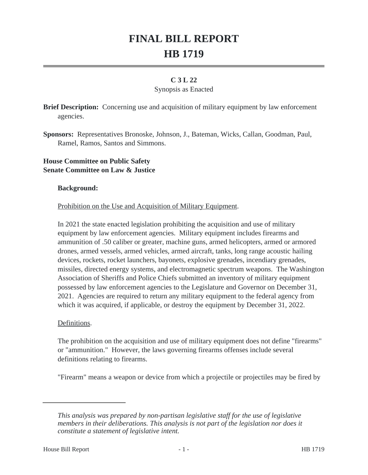# **FINAL BILL REPORT HB 1719**

## **C 3 L 22**

#### Synopsis as Enacted

**Brief Description:** Concerning use and acquisition of military equipment by law enforcement agencies.

**Sponsors:** Representatives Bronoske, Johnson, J., Bateman, Wicks, Callan, Goodman, Paul, Ramel, Ramos, Santos and Simmons.

## **House Committee on Public Safety Senate Committee on Law & Justice**

#### **Background:**

### Prohibition on the Use and Acquisition of Military Equipment.

In 2021 the state enacted legislation prohibiting the acquisition and use of military equipment by law enforcement agencies. Military equipment includes firearms and ammunition of .50 caliber or greater, machine guns, armed helicopters, armed or armored drones, armed vessels, armed vehicles, armed aircraft, tanks, long range acoustic hailing devices, rockets, rocket launchers, bayonets, explosive grenades, incendiary grenades, missiles, directed energy systems, and electromagnetic spectrum weapons. The Washington Association of Sheriffs and Police Chiefs submitted an inventory of military equipment possessed by law enforcement agencies to the Legislature and Governor on December 31, 2021. Agencies are required to return any military equipment to the federal agency from which it was acquired, if applicable, or destroy the equipment by December 31, 2022.

#### Definitions.

The prohibition on the acquisition and use of military equipment does not define "firearms" or "ammunition." However, the laws governing firearms offenses include several definitions relating to firearms.

"Firearm" means a weapon or device from which a projectile or projectiles may be fired by

*This analysis was prepared by non-partisan legislative staff for the use of legislative members in their deliberations. This analysis is not part of the legislation nor does it constitute a statement of legislative intent.*